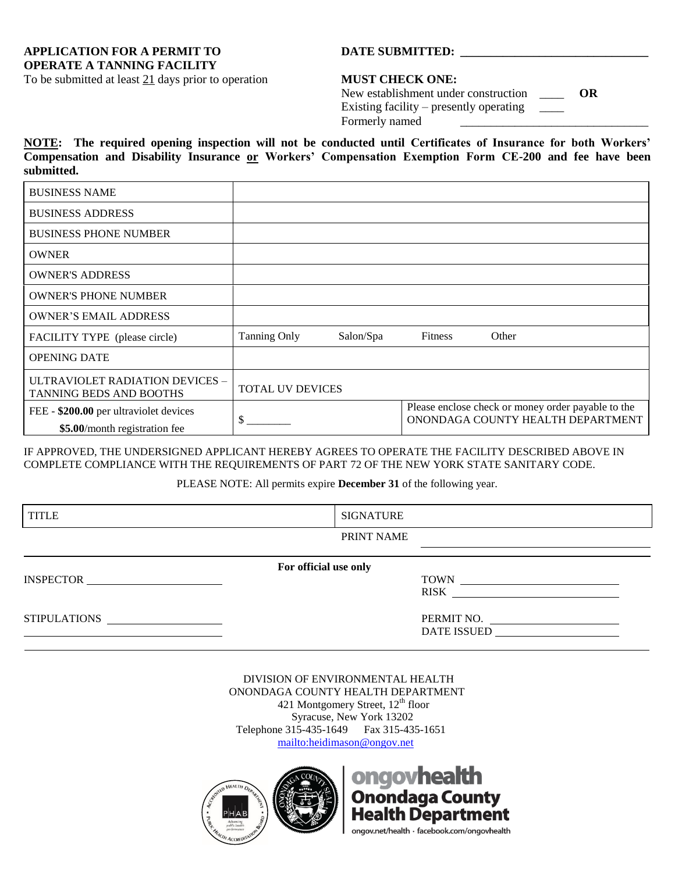**APPLICATION FOR A PERMIT TO DATE SUBMITTED: \_\_\_\_\_\_\_\_\_\_\_\_\_\_\_\_\_\_\_\_\_\_\_\_\_\_\_\_\_\_\_ OPERATE A TANNING FACILITY**

## To be submitted at least 21 days prior to operation **MUST CHECK ONE:**

| New establishment under construction          | OR |
|-----------------------------------------------|----|
| Existing facility – presently operating _____ |    |
| Formerly named                                |    |

**NOTE: The required opening inspection will not be conducted until Certificates of Insurance for both Workers' Compensation and Disability Insurance or Workers' Compensation Exemption Form CE-200 and fee have been submitted.**

| <b>BUSINESS NAME</b>                                                    |                     |           |         |                                                                                         |
|-------------------------------------------------------------------------|---------------------|-----------|---------|-----------------------------------------------------------------------------------------|
| <b>BUSINESS ADDRESS</b>                                                 |                     |           |         |                                                                                         |
| <b>BUSINESS PHONE NUMBER</b>                                            |                     |           |         |                                                                                         |
| <b>OWNER</b>                                                            |                     |           |         |                                                                                         |
| <b>OWNER'S ADDRESS</b>                                                  |                     |           |         |                                                                                         |
| <b>OWNER'S PHONE NUMBER</b>                                             |                     |           |         |                                                                                         |
| <b>OWNER'S EMAIL ADDRESS</b>                                            |                     |           |         |                                                                                         |
| FACILITY TYPE (please circle)                                           | <b>Tanning Only</b> | Salon/Spa | Fitness | Other                                                                                   |
| <b>OPENING DATE</b>                                                     |                     |           |         |                                                                                         |
| ULTRAVIOLET RADIATION DEVICES -<br>TANNING BEDS AND BOOTHS              | TOTAL UV DEVICES    |           |         |                                                                                         |
| FEE - \$200.00 per ultraviolet devices<br>\$5.00/month registration fee | S.                  |           |         | Please enclose check or money order payable to the<br>ONONDAGA COUNTY HEALTH DEPARTMENT |

IF APPROVED, THE UNDERSIGNED APPLICANT HEREBY AGREES TO OPERATE THE FACILITY DESCRIBED ABOVE IN COMPLETE COMPLIANCE WITH THE REQUIREMENTS OF PART 72 OF THE NEW YORK STATE SANITARY CODE.

PLEASE NOTE: All permits expire **December 31** of the following year.

| <b>TITLE</b>     | <b>SIGNATURE</b>      |                                  |
|------------------|-----------------------|----------------------------------|
|                  | PRINT NAME            |                                  |
| <b>INSPECTOR</b> | For official use only | <b>RISK</b>                      |
| STIPULATIONS     |                       | PERMIT NO.<br><b>DATE ISSUED</b> |

DIVISION OF ENVIRONMENTAL HEALTH ONONDAGA COUNTY HEALTH DEPARTMENT 421 Montgomery Street,  $12<sup>th</sup>$  floor Syracuse, New York 13202 Telephone 315-435-1649Fax 315-435-1651 [mailto:heidimason@ongov.net](mailto:heidimason@ongov.net?subject=Tanning%20Application)